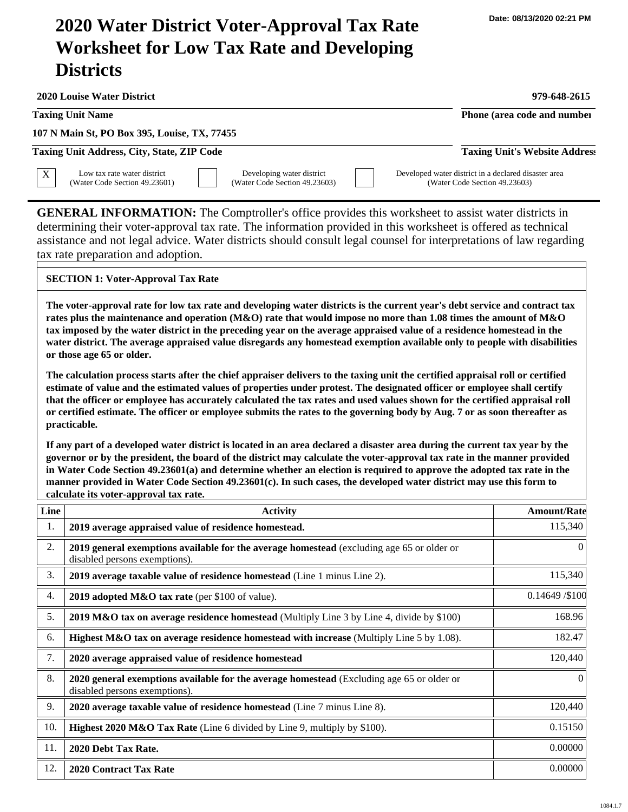## **2020 Water District Voter-Approval Tax Rate Worksheet for Low Tax Rate and Developing Districts**

**2020 Louise Water District 979-648-2615 107 N Main St, PO Box 395, Louise, TX, 77455 Taxing Unit Name Phone (area code and number Phone (area code and number Taxing Unit Address, City, State, ZIP Code Taxing Unit's Website Address GENERAL INFORMATION:** The Comptroller's office provides this worksheet to assist water districts in determining their voter-approval tax rate. The information provided in this worksheet is offered as technical assistance and not legal advice. Water districts should consult legal counsel for interpretations of law regarding tax rate preparation and adoption. **Line Activity Amount/Rate** 1. 2. 3. 4. 5. 6. 7. 8. **2019 average appraised value of residence homestead. 2019 general exemptions available for the average homestead** (excluding age 65 or older or disabled persons exemptions). **2019 average taxable value of residence homestead** (Line 1 minus Line 2). **2019 adopted M&O tax rate** (per \$100 of value). **2019 M&O tax on average residence homestead** (Multiply Line 3 by Line 4, divide by \$100) **Highest M&O tax on average residence homestead with increase (Multiply Line 5 by 1.08). 2020 average appraised value of residence homestead 2020 general exemptions available for the average homestead** (Excluding age 65 or older or 115,340 0 115,340 0.14649 /\$100 168.96 182.47 120,440 0  $\overline{X}$  Low tax rate water district (Water Code Section 49.23601) Developing water district (Water Code Section 49.23603) Developed water district in a declared disaster area (Water Code Section 49.23603) **SECTION 1: Voter-Approval Tax Rate The voter-approval rate for low tax rate and developing water districts is the current year's debt service and contract tax rates plus the maintenance and operation (M&O) rate that would impose no more than 1.08 times the amount of M&O tax imposed by the water district in the preceding year on the average appraised value of a residence homestead in the water district. The average appraised value disregards any homestead exemption available only to people with disabilities or those age 65 or older. The calculation process starts after the chief appraiser delivers to the taxing unit the certified appraisal roll or certified estimate of value and the estimated values of properties under protest. The designated officer or employee shall certify that the officer or employee has accurately calculated the tax rates and used values shown for the certified appraisal roll or certified estimate. The officer or employee submits the rates to the governing body by Aug. 7 or as soon thereafter as practicable. If any part of a developed water district is located in an area declared a disaster area during the current tax year by the governor or by the president, the board of the district may calculate the voter-approval tax rate in the manner provided in Water Code Section 49.23601(a) and determine whether an election is required to approve the adopted tax rate in the manner provided in Water Code Section 49.23601(c). In such cases, the developed water district may use this form to calculate its voter-approval tax rate.**

## 1084.1.7